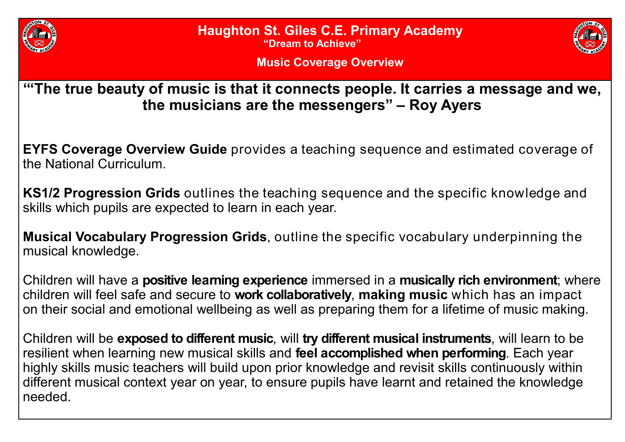

**Haughton St. Giles C.E. Primary Academy**

**"Dream to Achieve"**



**Music Coverage Overview**

**'"The true beauty of music is that it connects people. It carries a message and we, the musicians are the messengers" – Roy Ayers** 

**EYFS Coverage Overview Guide** provides a teaching sequence and estimated coverage of the National Curriculum.

**KS1/2 Progression Grids** outlines the teaching sequence and the specific knowledge and skills which pupils are expected to learn in each year.

**Musical Vocabulary Progression Grids**, outline the specific vocabulary underpinning the musical knowledge.

Children will have a **positive learning experience** immersed in a **musically rich environment**; where children will feel safe and secure to **work collaboratively**, **making music** which has an impact on their social and emotional wellbeing as well as preparing them for a lifetime of music making.

Children will be **exposed to different music**, will **try different musical instruments**, will learn to be resilient when learning new musical skills and **feel accomplished when performing**. Each year highly skills music teachers will build upon prior knowledge and revisit skills continuously within different musical context year on year, to ensure pupils have learnt and retained the knowledge needed.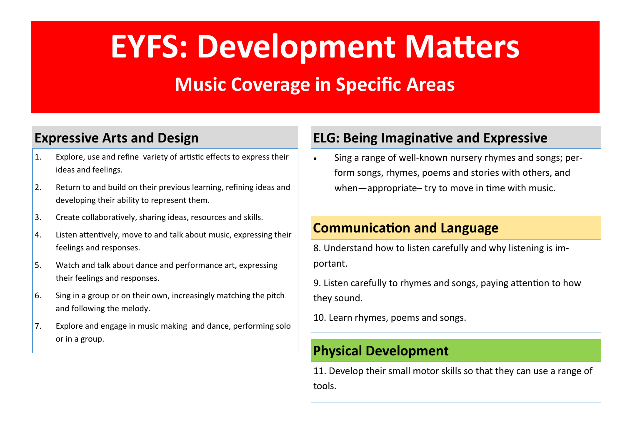# **EYFS: Development Matters**

### **Music Coverage in Specific Areas**

### **Expressive Arts and Design**

- 1. Explore, use and refine variety of artistic effects to express their ideas and feelings.
- 2. Return to and build on their previous learning, refining ideas and developing their ability to represent them.
- 3. Create collaboratively, sharing ideas, resources and skills.
- 4. Listen attentively, move to and talk about music, expressing their feelings and responses.
- 5. Watch and talk about dance and performance art, expressing their feelings and responses.
- 6. Sing in a group or on their own, increasingly matching the pitch and following the melody.
- 7. Explore and engage in music making and dance, performing solo or in a group.

### **ELG: Being Imaginative and Expressive**

• Sing a range of well-known nursery rhymes and songs; perform songs, rhymes, poems and stories with others, and when—appropriate– try to move in time with music.

#### **Communication and Language**

8. Understand how to listen carefully and why listening is important.

9. Listen carefully to rhymes and songs, paying attention to how they sound.

10. Learn rhymes, poems and songs.

#### **Physical Development**

11. Develop their small motor skills so that they can use a range of tools.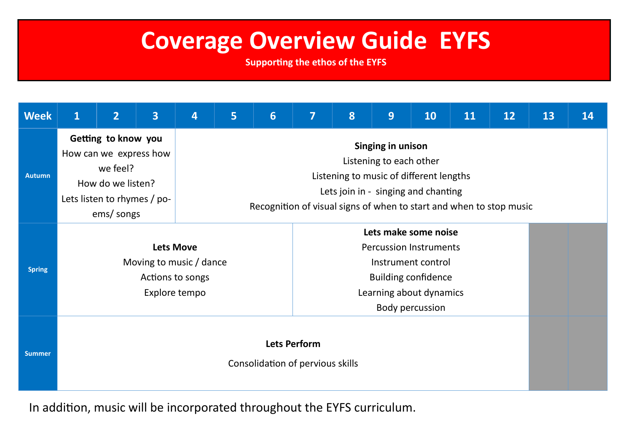## **Coverage Overview Guide EYFS**

**Supporting the ethos of the EYFS**

| <b>Week</b>   | $\mathbf{1}$                                                                                                                | $\overline{2}$ | $\overline{\mathbf{3}}$ | 4                                                                                                                                                                                                     | 5                                                                                                                                                       | $6\phantom{1}$ | $\overline{7}$ | 8 | 9 | 10 | 11 | 12 | 13 | 14 |
|---------------|-----------------------------------------------------------------------------------------------------------------------------|----------------|-------------------------|-------------------------------------------------------------------------------------------------------------------------------------------------------------------------------------------------------|---------------------------------------------------------------------------------------------------------------------------------------------------------|----------------|----------------|---|---|----|----|----|----|----|
| <b>Autumn</b> | Getting to know you<br>How can we express how<br>we feel?<br>How do we listen?<br>Lets listen to rhymes / po-<br>ems/ songs |                |                         | Singing in unison<br>Listening to each other<br>Listening to music of different lengths<br>Lets join in - singing and chanting<br>Recognition of visual signs of when to start and when to stop music |                                                                                                                                                         |                |                |   |   |    |    |    |    |    |
| <b>Spring</b> | <b>Lets Move</b><br>Moving to music / dance<br>Actions to songs<br>Explore tempo                                            |                |                         |                                                                                                                                                                                                       | Lets make some noise<br><b>Percussion Instruments</b><br>Instrument control<br><b>Building confidence</b><br>Learning about dynamics<br>Body percussion |                |                |   |   |    |    |    |    |    |
| <b>Summer</b> | <b>Lets Perform</b><br>Consolidation of pervious skills                                                                     |                |                         |                                                                                                                                                                                                       |                                                                                                                                                         |                |                |   |   |    |    |    |    |    |

In addition, music will be incorporated throughout the EYFS curriculum.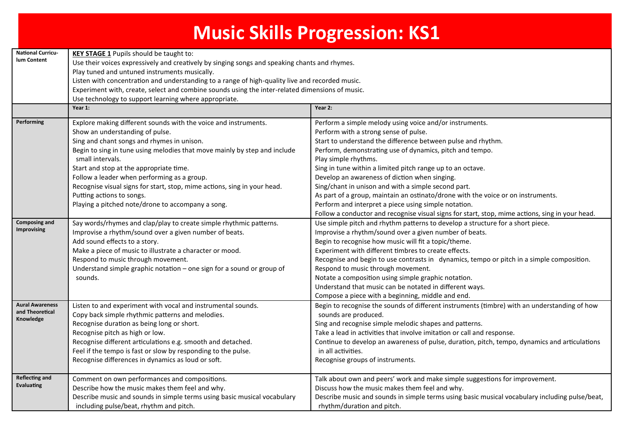| <b>Music Skills Progression: KS1</b>                   |                                                                                                                                                                                                                                                                                                                                                                                                                                                                                                           |                                                                                                                                                                                                                                                                                                                                                                                                                                                                                                                                                                                                                                                                           |  |  |  |
|--------------------------------------------------------|-----------------------------------------------------------------------------------------------------------------------------------------------------------------------------------------------------------------------------------------------------------------------------------------------------------------------------------------------------------------------------------------------------------------------------------------------------------------------------------------------------------|---------------------------------------------------------------------------------------------------------------------------------------------------------------------------------------------------------------------------------------------------------------------------------------------------------------------------------------------------------------------------------------------------------------------------------------------------------------------------------------------------------------------------------------------------------------------------------------------------------------------------------------------------------------------------|--|--|--|
| <b>National Curricu-</b><br>lum Content                | <b>KEY STAGE 1</b> Pupils should be taught to:<br>Use their voices expressively and creatively by singing songs and speaking chants and rhymes.<br>Play tuned and untuned instruments musically.<br>Listen with concentration and understanding to a range of high-quality live and recorded music.<br>Experiment with, create, select and combine sounds using the inter-related dimensions of music.<br>Use technology to support learning where appropriate.                                           |                                                                                                                                                                                                                                                                                                                                                                                                                                                                                                                                                                                                                                                                           |  |  |  |
|                                                        | Year 1:                                                                                                                                                                                                                                                                                                                                                                                                                                                                                                   | Year 2:                                                                                                                                                                                                                                                                                                                                                                                                                                                                                                                                                                                                                                                                   |  |  |  |
| Performing                                             | Explore making different sounds with the voice and instruments.<br>Show an understanding of pulse.<br>Sing and chant songs and rhymes in unison.<br>Begin to sing in tune using melodies that move mainly by step and include<br>small intervals.<br>Start and stop at the appropriate time.<br>Follow a leader when performing as a group.<br>Recognise visual signs for start, stop, mime actions, sing in your head.<br>Putting actions to songs.<br>Playing a pitched note/drone to accompany a song. | Perform a simple melody using voice and/or instruments.<br>Perform with a strong sense of pulse.<br>Start to understand the difference between pulse and rhythm.<br>Perform, demonstrating use of dynamics, pitch and tempo.<br>Play simple rhythms.<br>Sing in tune within a limited pitch range up to an octave.<br>Develop an awareness of diction when singing.<br>Sing/chant in unison and with a simple second part.<br>As part of a group, maintain an ostinato/drone with the voice or on instruments.<br>Perform and interpret a piece using simple notation.<br>Follow a conductor and recognise visual signs for start, stop, mime actions, sing in your head. |  |  |  |
| <b>Composing and</b><br><b>Improvising</b>             | Say words/rhymes and clap/play to create simple rhythmic patterns.<br>Improvise a rhythm/sound over a given number of beats.<br>Add sound effects to a story.<br>Make a piece of music to illustrate a character or mood.<br>Respond to music through movement.<br>Understand simple graphic notation - one sign for a sound or group of<br>sounds.                                                                                                                                                       | Use simple pitch and rhythm patterns to develop a structure for a short piece.<br>Improvise a rhythm/sound over a given number of beats.<br>Begin to recognise how music will fit a topic/theme.<br>Experiment with different timbres to create effects.<br>Recognise and begin to use contrasts in dynamics, tempo or pitch in a simple composition.<br>Respond to music through movement.<br>Notate a composition using simple graphic notation.<br>Understand that music can be notated in different ways.<br>Compose a piece with a beginning, middle and end.                                                                                                        |  |  |  |
| <b>Aural Awareness</b><br>and Theoretical<br>Knowledge | Listen to and experiment with vocal and instrumental sounds.<br>Copy back simple rhythmic patterns and melodies.<br>Recognise duration as being long or short.<br>Recognise pitch as high or low.<br>Recognise different articulations e.g. smooth and detached.<br>Feel if the tempo is fast or slow by responding to the pulse.<br>Recognise differences in dynamics as loud or soft.                                                                                                                   | Begin to recognise the sounds of different instruments (timbre) with an understanding of how<br>sounds are produced.<br>Sing and recognise simple melodic shapes and patterns.<br>Take a lead in activities that involve imitation or call and response.<br>Continue to develop an awareness of pulse, duration, pitch, tempo, dynamics and articulations<br>in all activities.<br>Recognise groups of instruments.                                                                                                                                                                                                                                                       |  |  |  |
| <b>Reflecting and</b><br><b>Evaluating</b>             | Comment on own performances and compositions.<br>Describe how the music makes them feel and why.<br>Describe music and sounds in simple terms using basic musical vocabulary<br>including pulse/beat, rhythm and pitch.                                                                                                                                                                                                                                                                                   | Talk about own and peers' work and make simple suggestions for improvement.<br>Discuss how the music makes them feel and why.<br>Describe music and sounds in simple terms using basic musical vocabulary including pulse/beat,<br>rhythm/duration and pitch.                                                                                                                                                                                                                                                                                                                                                                                                             |  |  |  |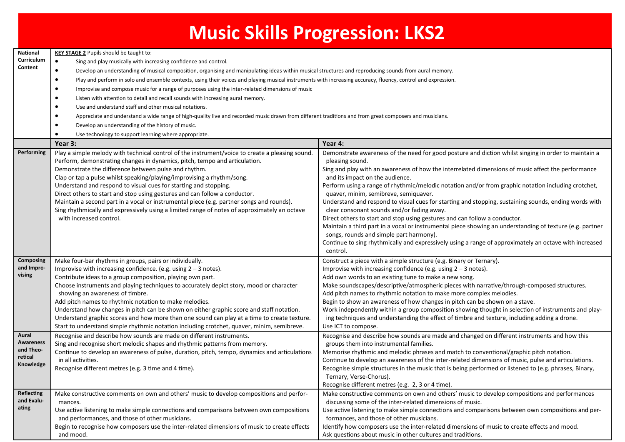|                                                                |                                                                                                                                                                                                                                                                                                                                                                                                                                                                                                                                                                                                                                                                                                                                                                                                                                                                                                                                                                                               | <b>Music Skills Progression: LKS2</b>                                                                                                                                                                                                                                                                                                                                                                                                                                                                                                                                                                                                                                                                                                                                                                                                                                                                                              |  |  |
|----------------------------------------------------------------|-----------------------------------------------------------------------------------------------------------------------------------------------------------------------------------------------------------------------------------------------------------------------------------------------------------------------------------------------------------------------------------------------------------------------------------------------------------------------------------------------------------------------------------------------------------------------------------------------------------------------------------------------------------------------------------------------------------------------------------------------------------------------------------------------------------------------------------------------------------------------------------------------------------------------------------------------------------------------------------------------|------------------------------------------------------------------------------------------------------------------------------------------------------------------------------------------------------------------------------------------------------------------------------------------------------------------------------------------------------------------------------------------------------------------------------------------------------------------------------------------------------------------------------------------------------------------------------------------------------------------------------------------------------------------------------------------------------------------------------------------------------------------------------------------------------------------------------------------------------------------------------------------------------------------------------------|--|--|
| National<br>Curriculum<br>Content                              | <b>KEY STAGE 2</b> Pupils should be taught to:<br>Sing and play musically with increasing confidence and control.<br>$\bullet$<br>Develop an understanding of musical composition, organising and manipulating ideas within musical structures and reproducing sounds from aural memory.<br>$\bullet$<br>Play and perform in solo and ensemble contexts, using their voices and playing musical instruments with increasing accuracy, fluency, control and expression.<br>Improvise and compose music for a range of purposes using the inter-related dimensions of music<br>Listen with attention to detail and recall sounds with increasing aural memory.<br>Use and understand staff and other musical notations.<br>Appreciate and understand a wide range of high-quality live and recorded music drawn from different traditions and from great composers and musicians.<br>Develop an understanding of the history of music.<br>Use technology to support learning where appropriate. |                                                                                                                                                                                                                                                                                                                                                                                                                                                                                                                                                                                                                                                                                                                                                                                                                                                                                                                                    |  |  |
|                                                                | Year 3:                                                                                                                                                                                                                                                                                                                                                                                                                                                                                                                                                                                                                                                                                                                                                                                                                                                                                                                                                                                       | Year 4:                                                                                                                                                                                                                                                                                                                                                                                                                                                                                                                                                                                                                                                                                                                                                                                                                                                                                                                            |  |  |
| Performing                                                     | Play a simple melody with technical control of the instrument/voice to create a pleasing sound.<br>Perform, demonstrating changes in dynamics, pitch, tempo and articulation.<br>Demonstrate the difference between pulse and rhythm.<br>Clap or tap a pulse whilst speaking/playing/improvising a rhythm/song.<br>Understand and respond to visual cues for starting and stopping.<br>Direct others to start and stop using gestures and can follow a conductor.<br>Maintain a second part in a vocal or instrumental piece (e.g. partner songs and rounds).<br>Sing rhythmically and expressively using a limited range of notes of approximately an octave<br>with increased control.                                                                                                                                                                                                                                                                                                      | Demonstrate awareness of the need for good posture and diction whilst singing in order to maintain a<br>pleasing sound.<br>Sing and play with an awareness of how the interrelated dimensions of music affect the performance<br>and its impact on the audience.<br>Perform using a range of rhythmic/melodic notation and/or from graphic notation including crotchet,<br>quaver, minim, semibreve, semiquaver.<br>Understand and respond to visual cues for starting and stopping, sustaining sounds, ending words with<br>clear consonant sounds and/or fading away.<br>Direct others to start and stop using gestures and can follow a conductor.<br>Maintain a third part in a vocal or instrumental piece showing an understanding of texture (e.g. partner<br>songs, rounds and simple part harmony).<br>Continue to sing rhythmically and expressively using a range of approximately an octave with increased<br>control. |  |  |
| Composing<br>and Impro-<br>vising                              | Make four-bar rhythms in groups, pairs or individually.<br>Improvise with increasing confidence. (e.g. using $2 - 3$ notes).<br>Contribute ideas to a group composition, playing own part.<br>Choose instruments and playing techniques to accurately depict story, mood or character<br>showing an awareness of timbre.<br>Add pitch names to rhythmic notation to make melodies.<br>Understand how changes in pitch can be shown on either graphic score and staff notation.<br>Understand graphic scores and how more than one sound can play at a time to create texture.<br>Start to understand simple rhythmic notation including crotchet, quaver, minim, semibreve.                                                                                                                                                                                                                                                                                                                   | Construct a piece with a simple structure (e.g. Binary or Ternary).<br>Improvise with increasing confidence (e.g. using $2 - 3$ notes).<br>Add own words to an existing tune to make a new song.<br>Make soundscapes/descriptive/atmospheric pieces with narrative/through-composed structures.<br>Add pitch names to rhythmic notation to make more complex melodies.<br>Begin to show an awareness of how changes in pitch can be shown on a stave.<br>Work independently within a group composition showing thought in selection of instruments and play-<br>ing techniques and understanding the effect of timbre and texture, including adding a drone.<br>Use ICT to compose.                                                                                                                                                                                                                                                |  |  |
| Aural<br><b>Awareness</b><br>and Theo-<br>retical<br>Knowledge | Recognise and describe how sounds are made on different instruments.<br>Sing and recognise short melodic shapes and rhythmic patterns from memory.<br>Continue to develop an awareness of pulse, duration, pitch, tempo, dynamics and articulations<br>in all activities.<br>Recognise different metres (e.g. 3 time and 4 time).                                                                                                                                                                                                                                                                                                                                                                                                                                                                                                                                                                                                                                                             | Recognise and describe how sounds are made and changed on different instruments and how this<br>groups them into instrumental families.<br>Memorise rhythmic and melodic phrases and match to conventional/graphic pitch notation.<br>Continue to develop an awareness of the inter-related dimensions of music, pulse and articulations.<br>Recognise simple structures in the music that is being performed or listened to (e.g. phrases, Binary,<br>Ternary, Verse-Chorus).<br>Recognise different metres (e.g. 2, 3 or 4 time).                                                                                                                                                                                                                                                                                                                                                                                                |  |  |
| Reflecting<br>and Evalu-<br>ating                              | Make constructive comments on own and others' music to develop compositions and perfor-<br>mances.<br>Use active listening to make simple connections and comparisons between own compositions<br>and performances, and those of other musicians.<br>Begin to recognise how composers use the inter-related dimensions of music to create effects<br>and mood.                                                                                                                                                                                                                                                                                                                                                                                                                                                                                                                                                                                                                                | Make constructive comments on own and others' music to develop compositions and performances<br>discussing some of the inter-related dimensions of music.<br>Use active listening to make simple connections and comparisons between own compositions and per-<br>formances, and those of other musicians.<br>Identify how composers use the inter-related dimensions of music to create effects and mood.<br>Ask questions about music in other cultures and traditions.                                                                                                                                                                                                                                                                                                                                                                                                                                                          |  |  |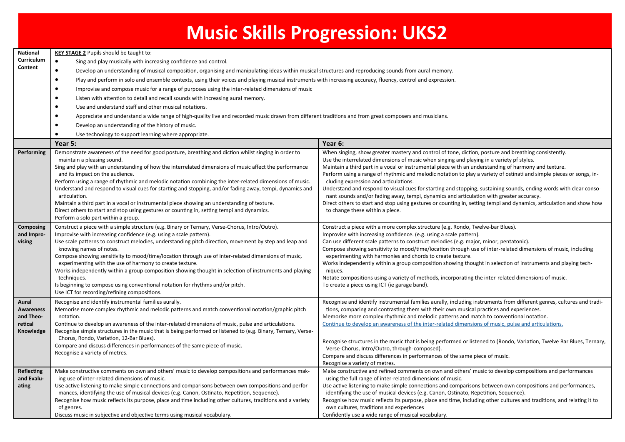|                                                         | <b>Music Skills Progression: UKS2</b>                                                                                                                                                                                                                                                                                                                                                                                                                                                                                                                                                                                                                                                                                                                                                                                                                                                                                                                                                                      |                                                                                                                                                                                                                                                                                                                                                                                                                                                                                                                                                                                                                                                                                                                                                                                                                                                        |  |  |
|---------------------------------------------------------|------------------------------------------------------------------------------------------------------------------------------------------------------------------------------------------------------------------------------------------------------------------------------------------------------------------------------------------------------------------------------------------------------------------------------------------------------------------------------------------------------------------------------------------------------------------------------------------------------------------------------------------------------------------------------------------------------------------------------------------------------------------------------------------------------------------------------------------------------------------------------------------------------------------------------------------------------------------------------------------------------------|--------------------------------------------------------------------------------------------------------------------------------------------------------------------------------------------------------------------------------------------------------------------------------------------------------------------------------------------------------------------------------------------------------------------------------------------------------------------------------------------------------------------------------------------------------------------------------------------------------------------------------------------------------------------------------------------------------------------------------------------------------------------------------------------------------------------------------------------------------|--|--|
| National<br>Curriculum<br>Content                       | <b>KEY STAGE 2</b> Pupils should be taught to:<br>$\bullet$<br>Sing and play musically with increasing confidence and control.<br>Develop an understanding of musical composition, organising and manipulating ideas within musical structures and reproducing sounds from aural memory.<br>$\bullet$<br>Play and perform in solo and ensemble contexts, using their voices and playing musical instruments with increasing accuracy, fluency, control and expression.<br>$\bullet$<br>Improvise and compose music for a range of purposes using the inter-related dimensions of music<br>Listen with attention to detail and recall sounds with increasing aural memory.<br>Use and understand staff and other musical notations.<br>Appreciate and understand a wide range of high-quality live and recorded music drawn from different traditions and from great composers and musicians.<br>Develop an understanding of the history of music.<br>Use technology to support learning where appropriate. |                                                                                                                                                                                                                                                                                                                                                                                                                                                                                                                                                                                                                                                                                                                                                                                                                                                        |  |  |
|                                                         | Year 5:                                                                                                                                                                                                                                                                                                                                                                                                                                                                                                                                                                                                                                                                                                                                                                                                                                                                                                                                                                                                    | Year 6:                                                                                                                                                                                                                                                                                                                                                                                                                                                                                                                                                                                                                                                                                                                                                                                                                                                |  |  |
| Performing                                              | Demonstrate awareness of the need for good posture, breathing and diction whilst singing in order to<br>maintain a pleasing sound.<br>Sing and play with an understanding of how the interrelated dimensions of music affect the performance<br>and its impact on the audience.<br>Perform using a range of rhythmic and melodic notation combining the inter-related dimensions of music.<br>Understand and respond to visual cues for starting and stopping, and/or fading away, tempi, dynamics and<br>articulation.<br>Maintain a third part in a vocal or instrumental piece showing an understanding of texture.<br>Direct others to start and stop using gestures or counting in, setting tempi and dynamics.<br>Perform a solo part within a group.                                                                                                                                                                                                                                                | When singing, show greater mastery and control of tone, diction, posture and breathing consistently.<br>Use the interrelated dimensions of music when singing and playing in a variety pf styles.<br>Maintain a third part in a vocal or instrumental piece with an understanding of harmony and texture.<br>Perform using a range of rhythmic and melodic notation to play a variety of ostinati and simple pieces or songs, in-<br>cluding expression and articulations.<br>Understand and respond to visual cues for starting and stopping, sustaining sounds, ending words with clear conso-<br>nant sounds and/or fading away, tempi, dynamics and articulation with greater accuracy.<br>Direct others to start and stop using gestures or counting in, setting tempi and dynamics, articulation and show how<br>to change these within a piece. |  |  |
| Composing<br>and Impro-<br>vising                       | Construct a piece with a simple structure (e.g. Binary or Ternary, Verse-Chorus, Intro/Outro).<br>Improvise with increasing confidence (e.g. using a scale pattern).<br>Use scale patterns to construct melodies, understanding pitch direction, movement by step and leap and<br>knowing names of notes.<br>Compose showing sensitivity to mood/time/location through use of inter-related dimensions of music,<br>experimenting with the use of harmony to create texture.<br>Works independently within a group composition showing thought in selection of instruments and playing<br>techniques.<br>Is beginning to compose using conventional notation for rhythms and/or pitch.<br>Use ICT for recording/refining compositions.                                                                                                                                                                                                                                                                     | Construct a piece with a more complex structure (e.g. Rondo, Twelve-bar Blues).<br>Improvise with increasing confidence. (e.g. using a scale pattern).<br>Can use different scale patterns to construct melodies (e.g. major, minor, pentatonic).<br>Compose showing sensitivity to mood/time/location through use of inter-related dimensions of music, including<br>experimenting with harmonies and chords to create texture.<br>Works independently within a group composition showing thought in selection of instruments and playing tech-<br>niques.<br>Notate compositions using a variety of methods, incorporating the inter-related dimensions of music.<br>To create a piece using ICT (ie garage band).                                                                                                                                   |  |  |
| Aural<br>Awareness<br>and Theo-<br>retical<br>Knowledge | Recognise and identify instrumental families aurally.<br>Memorise more complex rhythmic and melodic patterns and match conventional notation/graphic pitch<br>notation.<br>Continue to develop an awareness of the inter-related dimensions of music, pulse and articulations.<br>Recognise simple structures in the music that is being performed or listened to (e.g. Binary, Ternary, Verse-<br>Chorus, Rondo, Variation, 12-Bar Blues).<br>Compare and discuss differences in performances of the same piece of music.<br>Recognise a variety of metres.                                                                                                                                                                                                                                                                                                                                                                                                                                               | Recognise and identify instrumental families aurally, including instruments from different genres, cultures and tradi-<br>tions, comparing and contrasting them with their own musical practices and experiences.<br>Memorise more complex rhythmic and melodic patterns and match to conventional notation.<br>Continue to develop an awareness of the inter-related dimensions of music, pulse and articulations.<br>Recognise structures in the music that is being performed or listened to (Rondo, Variation, Twelve Bar Blues, Ternary,<br>Verse-Chorus, Intro/Outro, through-composed).<br>Compare and discuss differences in performances of the same piece of music.<br>Recognise a variety of metres.                                                                                                                                        |  |  |
| Reflecting<br>and Evalu-<br>ating                       | Make constructive comments on own and others' music to develop compositions and performances mak-<br>ing use of inter-related dimensions of music.<br>Use active listening to make simple connections and comparisons between own compositions and perfor-<br>mances, identifying the use of musical devices (e.g. Canon, Ostinato, Repetition, Sequence).<br>Recognise how music reflects its purpose, place and time including other cultures, traditions and a variety<br>of genres.<br>Discuss music in subjective and objective terms using musical vocabulary.                                                                                                                                                                                                                                                                                                                                                                                                                                       | Make constructive and refined comments on own and others' music to develop compositions and performances<br>using the full range of inter-related dimensions of music.<br>Use active listening to make simple connections and comparisons between own compositions and performances,<br>identifying the use of musical devices (e.g. Canon, Ostinato, Repetition, Sequence).<br>Recognise how music reflects its purpose, place and time, including other cultures and traditions, and relating it to<br>own cultures, traditions and experiences<br>Confidently use a wide range of musical vocabulary.                                                                                                                                                                                                                                               |  |  |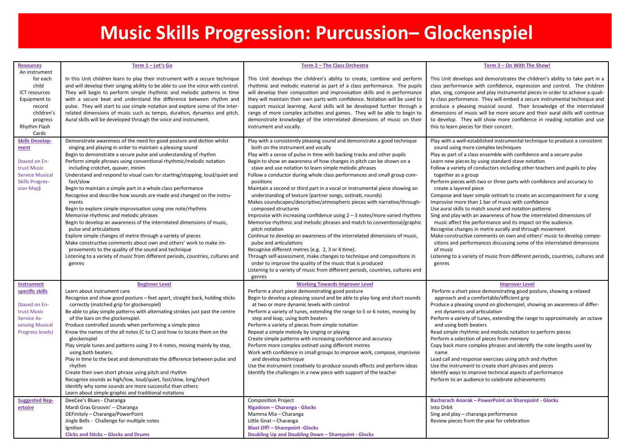### **Music Skills Progression: Purcussion– Glockenspiel**

| <b>Resources</b><br>An instrument                                                                               | Term 1 - Let's Go                                                                                                                                                                                                                                                                                                                                                                                                                                                                                                                                                                                                                                                                                                                                                                                                                                                                                                                                                                             | Term 2 - The Class Orchestra                                                                                                                                                                                                                                                                                                                                                                                                                                                                                                                                                                                                                                                                                                                                                                                                                                                                                                                                                                                                                                                                                                                                           | Term 3 - On With The Show!                                                                                                                                                                                                                                                                                                                                                                                                                                                                                                                                                                                                                                                                                                                                                                                                                                                                                                                                                                                                          |
|-----------------------------------------------------------------------------------------------------------------|-----------------------------------------------------------------------------------------------------------------------------------------------------------------------------------------------------------------------------------------------------------------------------------------------------------------------------------------------------------------------------------------------------------------------------------------------------------------------------------------------------------------------------------------------------------------------------------------------------------------------------------------------------------------------------------------------------------------------------------------------------------------------------------------------------------------------------------------------------------------------------------------------------------------------------------------------------------------------------------------------|------------------------------------------------------------------------------------------------------------------------------------------------------------------------------------------------------------------------------------------------------------------------------------------------------------------------------------------------------------------------------------------------------------------------------------------------------------------------------------------------------------------------------------------------------------------------------------------------------------------------------------------------------------------------------------------------------------------------------------------------------------------------------------------------------------------------------------------------------------------------------------------------------------------------------------------------------------------------------------------------------------------------------------------------------------------------------------------------------------------------------------------------------------------------|-------------------------------------------------------------------------------------------------------------------------------------------------------------------------------------------------------------------------------------------------------------------------------------------------------------------------------------------------------------------------------------------------------------------------------------------------------------------------------------------------------------------------------------------------------------------------------------------------------------------------------------------------------------------------------------------------------------------------------------------------------------------------------------------------------------------------------------------------------------------------------------------------------------------------------------------------------------------------------------------------------------------------------------|
| for each<br>child<br>ICT resources<br>Equipment to<br>record<br>children's<br>progress<br>Rhythm Flash<br>Cards | In this Unit children learn to play their instrument with a secure technique<br>and will develop their singing ability to be able to use the voice with control.<br>They will begin to perform simple rhythmic and melodic patterns in time<br>with a secure beat and understand the difference between rhythm and<br>pulse. They will start to use simple notation and explore some of the inter-<br>related dimensions of music such as tempo, duration, dynamics and pitch.<br>Aural skills will be developed through the voice and instrument.                                                                                                                                                                                                                                                                                                                                                                                                                                            | This Unit develops the children's ability to create, combine and perform<br>rhythmic and melodic material as part of a class performance. The pupils<br>will develop their composition and improvisation skills and in performance<br>they will maintain their own parts with confidence. Notation will be used to<br>support musical learning. Aural skills will be developed further through a<br>range of more complex activities and games. They will be able to begin to<br>demonstrate knowledge of the interrelated dimensions of music on their<br>instrument and vocally.                                                                                                                                                                                                                                                                                                                                                                                                                                                                                                                                                                                     | This Unit develops and demonstrates the children's ability to take part in a<br>class performance with confidence, expression and control. The children<br>plan, sing, compose and play instrumental pieces in order to achieve a quali-<br>ty class performance. They will embed a secure instrumental technique and<br>produce a pleasing musical sound. Their knowledge of the interrelated<br>dimensions of music will be more secure and their aural skills will continue<br>to develop. They will show more confidence in reading notation and use<br>this to learn pieces for their concert.                                                                                                                                                                                                                                                                                                                                                                                                                                 |
| <b>Skills Develop-</b>                                                                                          | Demonstrate awareness of the need for good posture and diction whilst                                                                                                                                                                                                                                                                                                                                                                                                                                                                                                                                                                                                                                                                                                                                                                                                                                                                                                                         | Play with a consistently pleasing sound and demonstrate a good technique                                                                                                                                                                                                                                                                                                                                                                                                                                                                                                                                                                                                                                                                                                                                                                                                                                                                                                                                                                                                                                                                                               | Play with a well-established instrumental technique to produce a consistent                                                                                                                                                                                                                                                                                                                                                                                                                                                                                                                                                                                                                                                                                                                                                                                                                                                                                                                                                         |
| ment<br>(based on En-<br>trust Music<br><b>Service Musical</b><br><b>Skills Progres-</b><br>sion Map)           | singing and playing in order to maintain a pleasing sound<br>Begin to demonstrate a secure pulse and understanding of rhythm<br>Perform simple phrases using conventional rhythmic/melodic notation<br>including crotchet, quaver, minim<br>Understand and respond to visual cues for starting/stopping, loud/quiet and<br>fast/slow<br>Begin to maintain a simple part in a whole class performance<br>Recognise and describe how sounds are made and changed on the instru-<br>ments<br>Begin to explore simple improvisation using one note/rhythms<br>Memorise rhythmic and melodic phrases<br>Begin to develop an awareness of the interrelated dimensions of music,<br>pulse and articulations<br>Explore simple changes of metre through a variety of pieces<br>Make constructive comments about own and others' work to make im-<br>provements to the quality of the sound and technique<br>Listening to a variety of music from different periods, countries, cultures and<br>genres | both on the instrument and vocally<br>Play with a sense of pulse in time with backing tracks and other pupils<br>Begin to show an awareness of how changes in pitch can be shown on a<br>stave and use notation to learn simple melodic phrases<br>Follow a conductor during whole class performances and small group com-<br>positions<br>Maintain a second or third part in a vocal or instrumental piece showing an<br>understanding of texture (partner songs, ostinati, rounds)<br>Makes soundscapes/descriptive/atmospheric pieces with narrative/through-<br>composed structures<br>Improvise with increasing confidence using $2 - 3$ notes/more varied rhythms<br>Memorise rhythmic and melodic phrases and match to conventional/graphic<br>pitch notation<br>Continue to develop an awareness of the interrelated dimensions of music,<br>pulse and articulations<br>Recognise different metres (e.g. 2, 3 or 4 time).<br>Through self-assessment, make changes to technique and compositions in<br>order to improve the quality of the music that is produced<br>Listening to a variety of music from different periods, countries, cultures and<br>genres | sound using more complex techniques<br>Play as part of a class ensemble with confidence and a secure pulse<br>Learn new pieces by using standard stave notation<br>Follow a variety of conductors including other teachers and pupils to play<br>together as a group<br>Perform pieces with two or three parts with confidence and accuracy to<br>create a layered piece<br>Compose and layer simple ostinati to create an accompaniment for a song<br>Improvise more than 1 bar of music with confidence<br>Use aural skills to match sound and notation patterns<br>Sing and play with an awareness of how the interrelated dimensions of<br>music affect the performance and its impact on the audience.<br>Recognise changes in metre aurally and through movement<br>Make constructive comments on own and others' music to develop compo-<br>sitions and performances discussing some of the interrelated dimensions<br>of music<br>Listening to a variety of music from different periods, countries, cultures and<br>genres |
| <b>Instrument</b>                                                                                               | <b>Beginner Level</b>                                                                                                                                                                                                                                                                                                                                                                                                                                                                                                                                                                                                                                                                                                                                                                                                                                                                                                                                                                         | <b>Working Towards Improver Level</b>                                                                                                                                                                                                                                                                                                                                                                                                                                                                                                                                                                                                                                                                                                                                                                                                                                                                                                                                                                                                                                                                                                                                  | <b>Improver Level</b>                                                                                                                                                                                                                                                                                                                                                                                                                                                                                                                                                                                                                                                                                                                                                                                                                                                                                                                                                                                                               |
| specific skills<br>(based on En-<br>trust Music<br><b>Service As-</b><br>sessing Musical<br>Progress levels)    | Learn about instrument care<br>Recognise and show good posture - feet apart, straight back, holding sticks<br>correctly (matched grip for glockenspiel)<br>Be able to play simple patterns with alternating strokes just past the centre<br>of the bars on the glockenspiel.<br>Produce controlled sounds when performing a simple piece<br>Know the names of the all notes (C to C) and how to locate them on the<br>glockenspiel<br>Play simple tunes and patterns using 3 to 4 notes, moving mainly by step,<br>using both beaters.<br>Play in time to the beat and demonstrate the difference between pulse and<br>rhythm<br>Create their own short phrase using pitch and rhythm<br>Recognise sounds as high/low, loud/quiet, fast/slow, long/short<br>Identify why some sounds are more successful than others<br>Learn about simple graphic and traditional notations                                                                                                                  | Perform a short piece demonstrating good posture<br>Begin to develop a pleasing sound and be able to play long and short sounds<br>at two or more dynamic levels with control<br>Perform a variety of tunes, extending the range to 5 or 6 notes, moving by<br>step and leap, using both beaters<br>Perform a variety of pieces from simple notation<br>Repeat a simple melody by singing or playing<br>Create simple patterns with increasing confidence and accuracy<br>Perform more complex ostinati using different metres<br>Work with confidence in small groups to improve work, compose, improvise<br>and develop technique<br>Use the instrument creatively to produce sounds effects and perform ideas<br>Identify the challenges in a new piece with support of the teacher                                                                                                                                                                                                                                                                                                                                                                                 | Perform a short piece demonstrating good posture, showing a relaxed<br>approach and a comfortable/efficient grip<br>Produce a pleasing sound on glockenspiel, showing an awareness of differ-<br>ent dynamics and articulation<br>Perform a variety of tunes, extending the range to approximately an octave<br>and using both beaters<br>Read simple rhythmic and melodic notation to perform pieces<br>Perform a selection of pieces from memory<br>Copy back more complex phrases and identify the note lengths used by<br>name<br>Lead call and response exercises using pitch and rhythm<br>Use the instrument to create short phrases and pieces<br>Identify ways to improve technical aspects of performance<br>Perform to an audience to celebrate achievements                                                                                                                                                                                                                                                             |
| <b>Suggested Rep-</b>                                                                                           | DeeCee's Blues - Charanga                                                                                                                                                                                                                                                                                                                                                                                                                                                                                                                                                                                                                                                                                                                                                                                                                                                                                                                                                                     | <b>Composition Project</b>                                                                                                                                                                                                                                                                                                                                                                                                                                                                                                                                                                                                                                                                                                                                                                                                                                                                                                                                                                                                                                                                                                                                             | <b>Bacharach Anorak - PowerPoint on Sharepoint - Glocks</b>                                                                                                                                                                                                                                                                                                                                                                                                                                                                                                                                                                                                                                                                                                                                                                                                                                                                                                                                                                         |
| ertoire                                                                                                         | Mardi Gras Groovin' - Charanga                                                                                                                                                                                                                                                                                                                                                                                                                                                                                                                                                                                                                                                                                                                                                                                                                                                                                                                                                                | Rigadoon - Charanga - Glocks                                                                                                                                                                                                                                                                                                                                                                                                                                                                                                                                                                                                                                                                                                                                                                                                                                                                                                                                                                                                                                                                                                                                           | Into Orbit                                                                                                                                                                                                                                                                                                                                                                                                                                                                                                                                                                                                                                                                                                                                                                                                                                                                                                                                                                                                                          |
|                                                                                                                 | DEFinitely - Charanga/PowerPoint<br>Jingle Bells - Challenge for multiple notes                                                                                                                                                                                                                                                                                                                                                                                                                                                                                                                                                                                                                                                                                                                                                                                                                                                                                                               | Mamma Mia - Charanga<br>Little Gnat - Charanga                                                                                                                                                                                                                                                                                                                                                                                                                                                                                                                                                                                                                                                                                                                                                                                                                                                                                                                                                                                                                                                                                                                         | Sing and play – charanga performance<br>Review pieces from the year for celebration                                                                                                                                                                                                                                                                                                                                                                                                                                                                                                                                                                                                                                                                                                                                                                                                                                                                                                                                                 |
|                                                                                                                 | lgnition                                                                                                                                                                                                                                                                                                                                                                                                                                                                                                                                                                                                                                                                                                                                                                                                                                                                                                                                                                                      | <b>Blast Off! - Sharepoint -Glocks</b>                                                                                                                                                                                                                                                                                                                                                                                                                                                                                                                                                                                                                                                                                                                                                                                                                                                                                                                                                                                                                                                                                                                                 |                                                                                                                                                                                                                                                                                                                                                                                                                                                                                                                                                                                                                                                                                                                                                                                                                                                                                                                                                                                                                                     |
|                                                                                                                 | <b>Clicks and Sticks - Glocks and Drums</b>                                                                                                                                                                                                                                                                                                                                                                                                                                                                                                                                                                                                                                                                                                                                                                                                                                                                                                                                                   | Doubling Up and Doubling Down - Sharepoint - Glocks                                                                                                                                                                                                                                                                                                                                                                                                                                                                                                                                                                                                                                                                                                                                                                                                                                                                                                                                                                                                                                                                                                                    |                                                                                                                                                                                                                                                                                                                                                                                                                                                                                                                                                                                                                                                                                                                                                                                                                                                                                                                                                                                                                                     |
|                                                                                                                 |                                                                                                                                                                                                                                                                                                                                                                                                                                                                                                                                                                                                                                                                                                                                                                                                                                                                                                                                                                                               |                                                                                                                                                                                                                                                                                                                                                                                                                                                                                                                                                                                                                                                                                                                                                                                                                                                                                                                                                                                                                                                                                                                                                                        |                                                                                                                                                                                                                                                                                                                                                                                                                                                                                                                                                                                                                                                                                                                                                                                                                                                                                                                                                                                                                                     |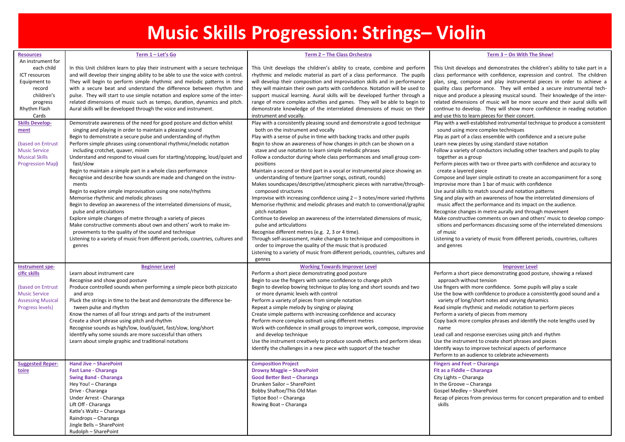## **Music Skills Progression: Strings– Violin**

| <b>Resources</b>                       | Term 1 - Let's Go                                                                                                                                           | Term 2 - The Class Orchestra                                                                                                                           | Term 3 - On With The Show!                                                                                                                        |
|----------------------------------------|-------------------------------------------------------------------------------------------------------------------------------------------------------------|--------------------------------------------------------------------------------------------------------------------------------------------------------|---------------------------------------------------------------------------------------------------------------------------------------------------|
| An instrument for                      |                                                                                                                                                             |                                                                                                                                                        |                                                                                                                                                   |
| each child<br>ICT resources            | In this Unit children learn to play their instrument with a secure technique                                                                                | This Unit develops the children's ability to create, combine and perform                                                                               | This Unit develops and demonstrates the children's ability to take part in a                                                                      |
| Equipment to                           | and will develop their singing ability to be able to use the voice with control.<br>They will begin to perform simple rhythmic and melodic patterns in time | rhythmic and melodic material as part of a class performance. The pupils<br>will develop their composition and improvisation skills and in performance | class performance with confidence, expression and control. The children<br>plan, sing, compose and play instrumental pieces in order to achieve a |
| record                                 | with a secure beat and understand the difference between rhythm and                                                                                         | they will maintain their own parts with confidence. Notation will be used to                                                                           | quality class performance. They will embed a secure instrumental tech-                                                                            |
| children's                             | pulse. They will start to use simple notation and explore some of the inter-                                                                                | support musical learning. Aural skills will be developed further through a                                                                             | nique and produce a pleasing musical sound. Their knowledge of the inter-                                                                         |
| progress                               | related dimensions of music such as tempo, duration, dynamics and pitch.                                                                                    | range of more complex activities and games. They will be able to begin to                                                                              | related dimensions of music will be more secure and their aural skills will                                                                       |
| Rhythm Flash                           | Aural skills will be developed through the voice and instrument.                                                                                            | demonstrate knowledge of the interrelated dimensions of music on their                                                                                 | continue to develop. They will show more confidence in reading notation                                                                           |
| Cards                                  |                                                                                                                                                             | instrument and vocally.                                                                                                                                | and use this to learn pieces for their concert.                                                                                                   |
| <b>Skills Develop-</b>                 | Demonstrate awareness of the need for good posture and diction whilst                                                                                       | Play with a consistently pleasing sound and demonstrate a good technique                                                                               | Play with a well-established instrumental technique to produce a consistent                                                                       |
| ment                                   | singing and playing in order to maintain a pleasing sound                                                                                                   | both on the instrument and vocally                                                                                                                     | sound using more complex techniques                                                                                                               |
| (based on Entrust                      | Begin to demonstrate a secure pulse and understanding of rhythm<br>Perform simple phrases using conventional rhythmic/melodic notation                      | Play with a sense of pulse in time with backing tracks and other pupils                                                                                | Play as part of a class ensemble with confidence and a secure pulse                                                                               |
| <b>Music Service</b>                   | including crotchet, quaver, minim                                                                                                                           | Begin to show an awareness of how changes in pitch can be shown on a<br>stave and use notation to learn simple melodic phrases                         | Learn new pieces by using standard stave notation<br>Follow a variety of conductors including other teachers and pupils to play                   |
| <b>Musical Skills</b>                  | Understand and respond to visual cues for starting/stopping, loud/quiet and                                                                                 | Follow a conductor during whole class performances and small group com-                                                                                | together as a group                                                                                                                               |
| <b>Progression Map)</b>                | fast/slow                                                                                                                                                   | positions                                                                                                                                              | Perform pieces with two or three parts with confidence and accuracy to                                                                            |
|                                        | Begin to maintain a simple part in a whole class performance                                                                                                | Maintain a second or third part in a vocal or instrumental piece showing an                                                                            | create a layered piece                                                                                                                            |
|                                        | Recognise and describe how sounds are made and changed on the instru-                                                                                       | understanding of texture (partner songs, ostinati, rounds)                                                                                             | Compose and layer simple ostinati to create an accompaniment for a song                                                                           |
|                                        | ments                                                                                                                                                       | Makes soundscapes/descriptive/atmospheric pieces with narrative/through-                                                                               | Improvise more than 1 bar of music with confidence                                                                                                |
|                                        | Begin to explore simple improvisation using one note/rhythms                                                                                                | composed structures                                                                                                                                    | Use aural skills to match sound and notation patterns                                                                                             |
|                                        | Memorise rhythmic and melodic phrases                                                                                                                       | Improvise with increasing confidence using $2 - 3$ notes/more varied rhythms                                                                           | Sing and play with an awareness of how the interrelated dimensions of                                                                             |
|                                        | Begin to develop an awareness of the interrelated dimensions of music,<br>pulse and articulations                                                           | Memorise rhythmic and melodic phrases and match to conventional/graphic<br>pitch notation                                                              | music affect the performance and its impact on the audience.<br>Recognise changes in metre aurally and through movement                           |
|                                        | Explore simple changes of metre through a variety of pieces                                                                                                 | Continue to develop an awareness of the interrelated dimensions of music,                                                                              | Make constructive comments on own and others' music to develop compo-                                                                             |
|                                        | Make constructive comments about own and others' work to make im-                                                                                           | pulse and articulations                                                                                                                                | sitions and performances discussing some of the interrelated dimensions                                                                           |
|                                        | provements to the quality of the sound and technique                                                                                                        | Recognise different metres (e.g. 2, 3 or 4 time).                                                                                                      | of music                                                                                                                                          |
|                                        | Listening to a variety of music from different periods, countries, cultures and                                                                             | Through self-assessment, make changes to technique and compositions in                                                                                 | Listening to a variety of music from different periods, countries, cultures                                                                       |
|                                        | genres                                                                                                                                                      | order to improve the quality of the music that is produced                                                                                             | and genres                                                                                                                                        |
|                                        |                                                                                                                                                             | Listening to a variety of music from different periods, countries, cultures and                                                                        |                                                                                                                                                   |
|                                        |                                                                                                                                                             | genres                                                                                                                                                 |                                                                                                                                                   |
| <b>Instrument spe-</b><br>cific skills | <b>Beginner Level</b><br>Learn about instrument care                                                                                                        | <b>Working Towards Improver Level</b><br>Perform a short piece demonstrating good posture                                                              | <b>Improver Level</b><br>Perform a short piece demonstrating good posture, showing a relaxed                                                      |
|                                        | Recognise and show good posture                                                                                                                             | Begin to use the fingers with some confidence to change pitch                                                                                          | approach without tension                                                                                                                          |
| (based on Entrust                      | Produce controlled sounds when performing a simple piece both pizzicato                                                                                     | Begin to develop bowing technique to play long and short sounds and two                                                                                | Use fingers with more confidence. Some pupils will play a scale                                                                                   |
| <b>Music Service</b>                   | and arco                                                                                                                                                    | or more dynamic levels with control                                                                                                                    | Use the bow with confidence to produce a consistently good sound and a                                                                            |
| <b>Assessing Musical</b>               | Pluck the strings in time to the beat and demonstrate the difference be-                                                                                    | Perform a variety of pieces from simple notation                                                                                                       | variety of long/short notes and varying dynamics                                                                                                  |
| <b>Progress levels)</b>                | tween pulse and rhythm                                                                                                                                      | Repeat a simple melody by singing or playing                                                                                                           | Read simple rhythmic and melodic notation to perform pieces                                                                                       |
|                                        | Know the names of all four strings and parts of the instrument                                                                                              | Create simple patterns with increasing confidence and accuracy                                                                                         | Perform a variety of pieces from memory                                                                                                           |
|                                        | Create a short phrase using pitch and rhythm                                                                                                                | Perform more complex ostinati using different metres                                                                                                   | Copy back more complex phrases and identify the note lengths used by<br>name                                                                      |
|                                        | Recognise sounds as high/low, loud/quiet, fast/slow, long/short<br>Identify why some sounds are more successful than others                                 | Work with confidence in small groups to improve work, compose, improvise<br>and develop technique                                                      | Lead call and response exercises using pitch and rhythm                                                                                           |
|                                        | Learn about simple graphic and traditional notations                                                                                                        | Use the instrument creatively to produce sounds effects and perform ideas                                                                              | Use the instrument to create short phrases and pieces                                                                                             |
|                                        |                                                                                                                                                             | Identify the challenges in a new piece with support of the teacher                                                                                     | Identify ways to improve technical aspects of performance                                                                                         |
|                                        |                                                                                                                                                             |                                                                                                                                                        | Perform to an audience to celebrate achievements                                                                                                  |
| <b>Suggested Reper-</b>                | Hand Jive - SharePoint                                                                                                                                      | <b>Composition Project</b>                                                                                                                             | Fingers and Feet - Charanga                                                                                                                       |
| toire                                  | <b>Fast Lane - Charanga</b>                                                                                                                                 | <b>Drowsy Maggie - SharePoint</b>                                                                                                                      | Fit as a Fiddle - Charanga                                                                                                                        |
|                                        | <b>Swing Band - Charanga</b>                                                                                                                                | Good Better Best - Charanga                                                                                                                            | City Lights - Charanga                                                                                                                            |
|                                        | Hey You! - Charanga                                                                                                                                         | Drunken Sailor - SharePoint                                                                                                                            | In the Groove - Charanga                                                                                                                          |
|                                        | Drive - Charanga                                                                                                                                            | Bobby Shaftoe/This Old Man                                                                                                                             | Gospel Medley - SharePoint                                                                                                                        |
|                                        | Under Arrest - Charanga                                                                                                                                     | Tiptoe Boo! - Charanga                                                                                                                                 | Recap of pieces from previous terms for concert preparation and to embed<br>skills                                                                |
|                                        | Lift Off - Charanga<br>Katie's Waltz - Charanga                                                                                                             | Rowing Boat - Charanga                                                                                                                                 |                                                                                                                                                   |
|                                        | Raindrops - Charanga                                                                                                                                        |                                                                                                                                                        |                                                                                                                                                   |
|                                        | Jingle Bells - SharePoint                                                                                                                                   |                                                                                                                                                        |                                                                                                                                                   |
|                                        | Rudolph - SharePoint                                                                                                                                        |                                                                                                                                                        |                                                                                                                                                   |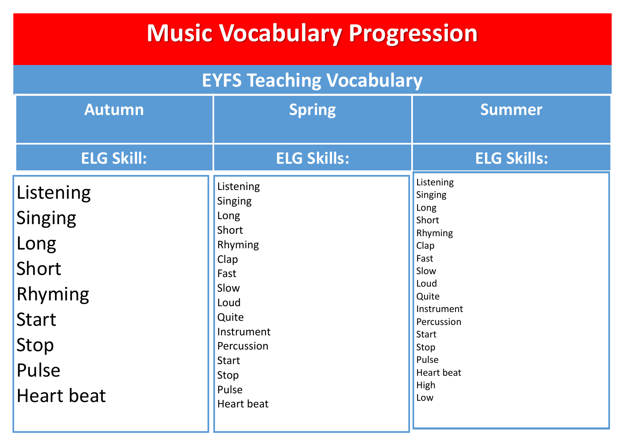## **Music Vocabulary Progression**

| <b>EYFS Teaching Vocabulary</b>                                                                               |                                                                                                                                                                             |                                                                                                                                                                                            |  |  |  |
|---------------------------------------------------------------------------------------------------------------|-----------------------------------------------------------------------------------------------------------------------------------------------------------------------------|--------------------------------------------------------------------------------------------------------------------------------------------------------------------------------------------|--|--|--|
| <b>Autumn</b>                                                                                                 | <b>Spring</b>                                                                                                                                                               | <b>Summer</b>                                                                                                                                                                              |  |  |  |
| <b>ELG Skill:</b>                                                                                             | <b>ELG Skills:</b>                                                                                                                                                          | <b>ELG Skills:</b>                                                                                                                                                                         |  |  |  |
| Listening<br><b>Singing</b><br>Long<br>Short<br>Rhyming<br><b>Start</b><br>Stop<br>Pulse<br><b>Heart beat</b> | Listening<br>Singing<br>Long<br>Short<br>Rhyming<br>Clap<br>Fast<br>Slow<br>Loud<br>Quite<br>Instrument<br>Percussion<br><b>Start</b><br>Stop<br>Pulse<br><b>Heart beat</b> | Listening<br>Singing<br>Long<br>Short<br>Rhyming<br>Clap<br>Fast<br>Slow<br>Loud<br>Quite<br>Instrument<br>Percussion<br><b>Start</b><br>Stop<br>Pulse<br><b>Heart beat</b><br>High<br>Low |  |  |  |
|                                                                                                               |                                                                                                                                                                             |                                                                                                                                                                                            |  |  |  |